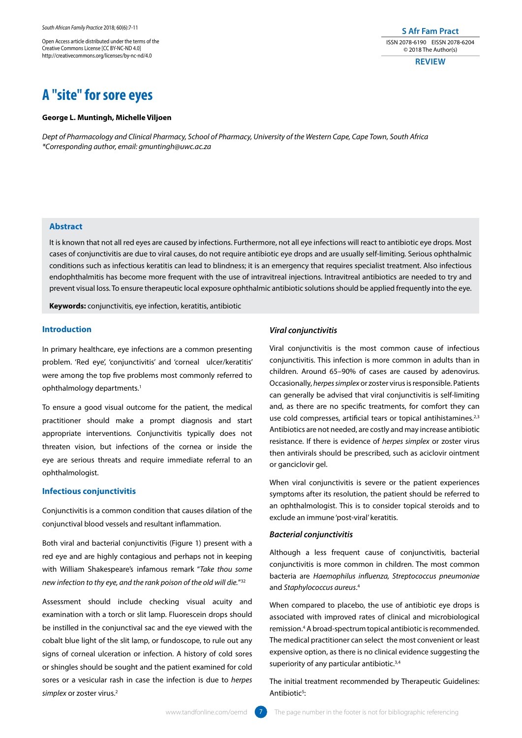Open Access article distributed under the terms of the Creative Commons License [CC BY-NC-ND 4.0] http://creativecommons.org/licenses/by-nc-nd/4.0

# **A "site" for sore eyes**

#### **George L. Muntingh, Michelle Viljoen**

*Dept of Pharmacology and Clinical Pharmacy, School of Pharmacy, University of the Western Cape, Cape Town, South Africa \*Corresponding author, email: gmuntingh@uwc.ac.za*

# **Abstract**

It is known that not all red eyes are caused by infections. Furthermore, not all eye infections will react to antibiotic eye drops. Most cases of conjunctivitis are due to viral causes, do not require antibiotic eye drops and are usually self-limiting. Serious ophthalmic conditions such as infectious keratitis can lead to blindness; it is an emergency that requires specialist treatment. Also infectious endophthalmitis has become more frequent with the use of intravitreal injections. Intravitreal antibiotics are needed to try and prevent visual loss. To ensure therapeutic local exposure ophthalmic antibiotic solutions should be applied frequently into the eye.

**Keywords:** conjunctivitis, eye infection, keratitis, antibiotic

## **Introduction**

In primary healthcare, eye infections are a common presenting problem. 'Red eye', 'conjunctivitis' and 'corneal ulcer/keratitis' were among the top five problems most commonly referred to ophthalmology departments.1

To ensure a good visual outcome for the patient, the medical practitioner should make a prompt diagnosis and start appropriate interventions. Conjunctivitis typically does not threaten vision, but infections of the cornea or inside the eye are serious threats and require immediate referral to an ophthalmologist.

#### **Infectious conjunctivitis**

Conjunctivitis is a common condition that causes dilation of the conjunctival blood vessels and resultant inflammation.

Both viral and bacterial conjunctivitis (Figure 1) present with a red eye and are highly contagious and perhaps not in keeping with William Shakespeare's infamous remark "*Take thou some new infection to thy eye, and the rank poison of the old will die.*"32

Assessment should include checking visual acuity and examination with a torch or slit lamp. Fluorescein drops should be instilled in the conjunctival sac and the eye viewed with the cobalt blue light of the slit lamp, or fundoscope, to rule out any signs of corneal ulceration or infection. A history of cold sores or shingles should be sought and the patient examined for cold sores or a vesicular rash in case the infection is due to *herpes simplex* or zoster virus.2

## *Viral conjunctivitis*

Viral conjunctivitis is the most common cause of infectious conjunctivitis. This infection is more common in adults than in children. Around 65–90% of cases are caused by adenovirus. Occasionally, *herpes simplex* or zoster virus is responsible. Patients can generally be advised that viral conjunctivitis is self-limiting and, as there are no specific treatments, for comfort they can use cold compresses, artificial tears or topical antihistamines.<sup>2,3</sup> Antibiotics are not needed, are costly and may increase antibiotic resistance. If there is evidence of *herpes simplex* or zoster virus then antivirals should be prescribed, such as aciclovir ointment or ganciclovir gel.

**S Afr Fam Pract** ISSN 2078-6190 EISSN 2078-6204 © 2018 The Author(s) **REVIEW**

When viral conjunctivitis is severe or the patient experiences symptoms after its resolution, the patient should be referred to an ophthalmologist. This is to consider topical steroids and to exclude an immune 'post-viral' keratitis.

## *Bacterial conjunctivitis*

Although a less frequent cause of conjunctivitis, bacterial conjunctivitis is more common in children. The most common bacteria are *Haemophilus influenza, Streptococcus pneumoniae* and *Staphylococcus aureus*. 4

When compared to placebo, the use of antibiotic eye drops is associated with improved rates of clinical and microbiological remission.4 A broad-spectrum topical antibiotic is recommended. The medical practitioner can select the most convenient or least expensive option, as there is no clinical evidence suggesting the superiority of any particular antibiotic.<sup>3,4</sup>

The initial treatment recommended by Therapeutic Guidelines: Antibiotic<sup>5</sup>: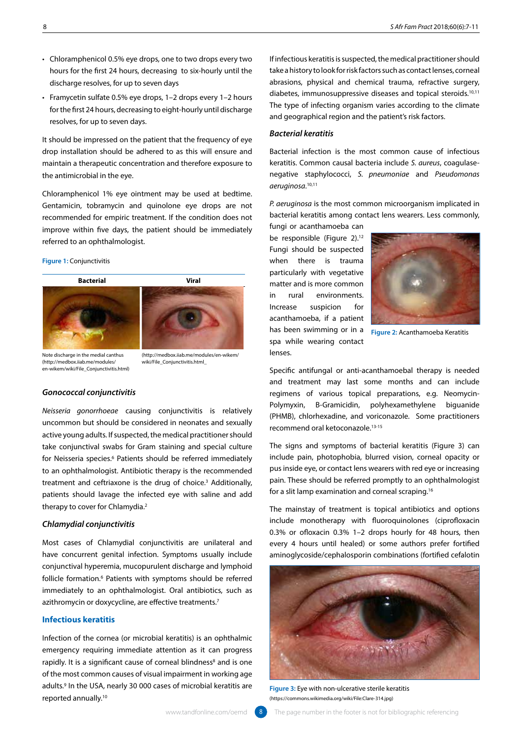- Chloramphenicol 0.5% eye drops, one to two drops every two hours for the first 24 hours, decreasing to six-hourly until the discharge resolves, for up to seven days
- Framycetin sulfate 0.5% eye drops, 1–2 drops every 1–2 hours for the first 24 hours, decreasing to eight-hourly until discharge resolves, for up to seven days.

It should be impressed on the patient that the frequency of eye drop installation should be adhered to as this will ensure and maintain a therapeutic concentration and therefore exposure to the antimicrobial in the eye.

Chloramphenicol 1% eye ointment may be used at bedtime. Gentamicin, tobramycin and quinolone eye drops are not recommended for empiric treatment. If the condition does not improve within five days, the patient should be immediately referred to an ophthalmologist.

#### **Figure 1:** Conjunctivitis





(http://medbox.iiab.me/modules/en-wikem/ wiki/File\_Conjunctivitis.html\_

Note discharge in the medial canthus (http://medbox.iiab.me/modules/ en-wikem/wiki/File\_Conjunctivitis.html)

#### *Gonococcal conjunctivitis*

*Neisseria gonorrhoeae* causing conjunctivitis is relatively uncommon but should be considered in neonates and sexually active young adults. If suspected, the medical practitioner should take conjunctival swabs for Gram staining and special culture for Neisseria species.<sup>6</sup> Patients should be referred immediately to an ophthalmologist. Antibiotic therapy is the recommended treatment and ceftriaxone is the drug of choice.<sup>3</sup> Additionally, patients should lavage the infected eye with saline and add therapy to cover for Chlamydia.<sup>2</sup>

### *Chlamydial conjunctivitis*

Most cases of Chlamydial conjunctivitis are unilateral and have concurrent genital infection. Symptoms usually include conjunctival hyperemia, mucopurulent discharge and lymphoid follicle formation.6 Patients with symptoms should be referred immediately to an ophthalmologist. Oral antibiotics, such as azithromycin or doxycycline, are effective treatments.<sup>7</sup>

# **Infectious keratitis**

Infection of the cornea (or microbial keratitis) is an ophthalmic emergency requiring immediate attention as it can progress rapidly. It is a significant cause of corneal blindness<sup>8</sup> and is one of the most common causes of visual impairment in working age adults.9 In the USA, nearly 30 000 cases of microbial keratitis are reported annually.10

If infectious keratitis is suspected, the medical practitioner should take a history to look for risk factors such as contact lenses, corneal abrasions, physical and chemical trauma, refractive surgery, diabetes, immunosuppressive diseases and topical steroids.10,11 The type of infecting organism varies according to the climate and geographical region and the patient's risk factors.

### *Bacterial keratitis*

Bacterial infection is the most common cause of infectious keratitis. Common causal bacteria include *S. aureus*, coagulasenegative staphylococci, *S. pneumoniae* and *Pseudomonas aeruginosa*. 10,11

*P. aeruginosa* is the most common microorganism implicated in bacterial keratitis among contact lens wearers. Less commonly,

fungi or acanthamoeba can be responsible (Figure 2).<sup>12</sup> Fungi should be suspected when there is trauma particularly with vegetative matter and is more common in rural environments. Increase suspicion for acanthamoeba, if a patient has been swimming or in a **Figure 2:** Acanthamoeba Keratitis spa while wearing contact lenses.



Specific antifungal or anti-acanthamoebal therapy is needed and treatment may last some months and can include regimens of various topical preparations, e.g. Neomycin-Polymyxin, B-Gramicidin, polyhexamethylene biguanide (PHMB), chlorhexadine, and voriconazole. Some practitioners recommend oral ketoconazole.13-15

The signs and symptoms of bacterial keratitis (Figure 3) can include pain, photophobia, blurred vision, corneal opacity or pus inside eye, or contact lens wearers with red eye or increasing pain. These should be referred promptly to an ophthalmologist for a slit lamp examination and corneal scraping.16

The mainstay of treatment is topical antibiotics and options include monotherapy with fluoroquinolones (ciprofloxacin 0.3% or ofloxacin 0.3% 1–2 drops hourly for 48 hours, then every 4 hours until healed) or some authors prefer fortified aminoglycoside/cephalosporin combinations (fortified cefalotin



**Figure 3:** Eye with non-ulcerative sterile keratitis (https://commons.wikimedia.org/wiki/File:Clare-314.jpg)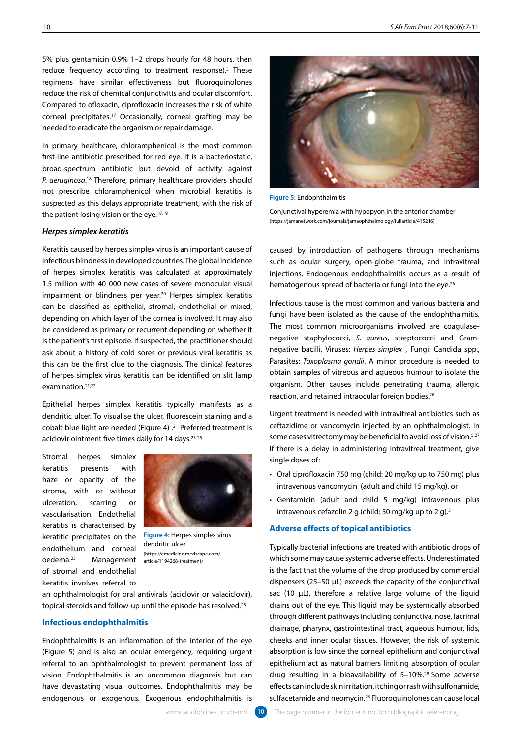5% plus gentamicin 0.9% 1–2 drops hourly for 48 hours, then reduce frequency according to treatment response).<sup>5</sup> These regimens have similar effectiveness but fluoroquinolones reduce the risk of chemical conjunctivitis and ocular discomfort. Compared to ofloxacin, ciprofloxacin increases the risk of white corneal precipitates.17 Occasionally, corneal grafting may be needed to eradicate the organism or repair damage.

In primary healthcare, chloramphenicol is the most common first-line antibiotic prescribed for red eye. It is a bacteriostatic, broad-spectrum antibiotic but devoid of activity against P. aeruginosa.<sup>18</sup> Therefore, primary healthcare providers should not prescribe chloramphenicol when microbial keratitis is suspected as this delays appropriate treatment, with the risk of the patient losing vision or the eye.<sup>18,19</sup>

#### *Herpes simplex keratitis*

Keratitis caused by herpes simplex virus is an important cause of infectious blindness in developed countries. The global incidence of herpes simplex keratitis was calculated at approximately 1.5 million with 40 000 new cases of severe monocular visual impairment or blindness per year.<sup>20</sup> Herpes simplex keratitis can be classified as epithelial, stromal, endothelial or mixed, depending on which layer of the cornea is involved. It may also be considered as primary or recurrent depending on whether it is the patient's first episode. If suspected, the practitioner should ask about a history of cold sores or previous viral keratitis as this can be the first clue to the diagnosis. The clinical features of herpes simplex virus keratitis can be identified on slit lamp examination.21,22

Epithelial herpes simplex keratitis typically manifests as a dendritic ulcer. To visualise the ulcer, fluorescein staining and a cobalt blue light are needed (Figure 4) .21 Preferred treatment is aciclovir ointment five times daily for 14 days.<sup>23-25</sup>

Stromal herpes simplex keratitis presents with haze or opacity of the stroma, with or without ulceration, scarring or vascularisation. Endothelial keratitis is characterised by keratitic precipitates on the endothelium and corneal oedema.23 Management of stromal and endothelial keratitis involves referral to



**Figure 4:** Herpes simplex virus dendritic ulcer (https://emedicine.medscape.com/ article/1194268-treatment)

an ophthalmologist for oral antivirals (aciclovir or valaciclovir), topical steroids and follow-up until the episode has resolved.25

#### **Infectious endophthalmitis**

Endophthalmitis is an inflammation of the interior of the eye (Figure 5) and is also an ocular emergency, requiring urgent referral to an ophthalmologist to prevent permanent loss of vision. Endophthalmitis is an uncommon diagnosis but can have devastating visual outcomes. Endophthalmitis may be endogenous or exogenous. Exogenous endophthalmitis is



**Figure 5:** Endophthalmitis Conjunctival hyperemia with hypopyon in the anterior chamber (https://jamanetwork.com/journals/jamaophthalmology/fullarticle/415216)

caused by introduction of pathogens through mechanisms such as ocular surgery, open-globe trauma, and intravitreal injections. Endogenous endophthalmitis occurs as a result of hematogenous spread of bacteria or fungi into the eye.<sup>26</sup>

Infectious cause is the most common and various bacteria and fungi have been isolated as the cause of the endophthalmitis. The most common microorganisms involved are coagulasenegative staphylococci, *S. aureus*, streptococci and Gramnegative bacilli, Viruses: *Herpes simplex* , Fungi: Candida spp., Parasites: *Toxoplasma gondii*. A minor procedure is needed to obtain samples of vitreous and aqueous humour to isolate the organism. Other causes include penetrating trauma, allergic reaction, and retained intraocular foreign bodies.26

Urgent treatment is needed with intravitreal antibiotics such as ceftazidime or vancomycin injected by an ophthalmologist. In some cases vitrectomy may be beneficial to avoid loss of vision.<sup>5,27</sup> If there is a delay in administering intravitreal treatment, give single doses of:

- Oral ciprofloxacin 750 mg (child: 20 mg/kg up to 750 mg) plus intravenous vancomycin (adult and child 15 mg/kg), or
- Gentamicin (adult and child 5 mg/kg) intravenous plus intravenous cefazolin 2 g (child: 50 mg/kg up to 2 g).<sup>5</sup>

#### **Adverse effects of topical antibiotics**

Typically bacterial infections are treated with antibiotic drops of which some may cause systemic adverse effects. Underestimated is the fact that the volume of the drop produced by commercial dispensers (25–50 μL) exceeds the capacity of the conjunctival sac (10 μL), therefore a relative large volume of the liquid drains out of the eye. This liquid may be systemically absorbed through different pathways including conjunctiva, nose, lacrimal drainage, pharynx, gastrointestinal tract, aqueous humour, lids, cheeks and inner ocular tissues. However, the risk of systemic absorption is low since the corneal epithelium and conjunctival epithelium act as natural barriers limiting absorption of ocular drug resulting in a bioavailability of 5–10%.28 Some adverse effects can include skin irritation, itching or rash with sulfonamide, sulfacetamide and neomycin.28 Fluoroquinolones can cause local